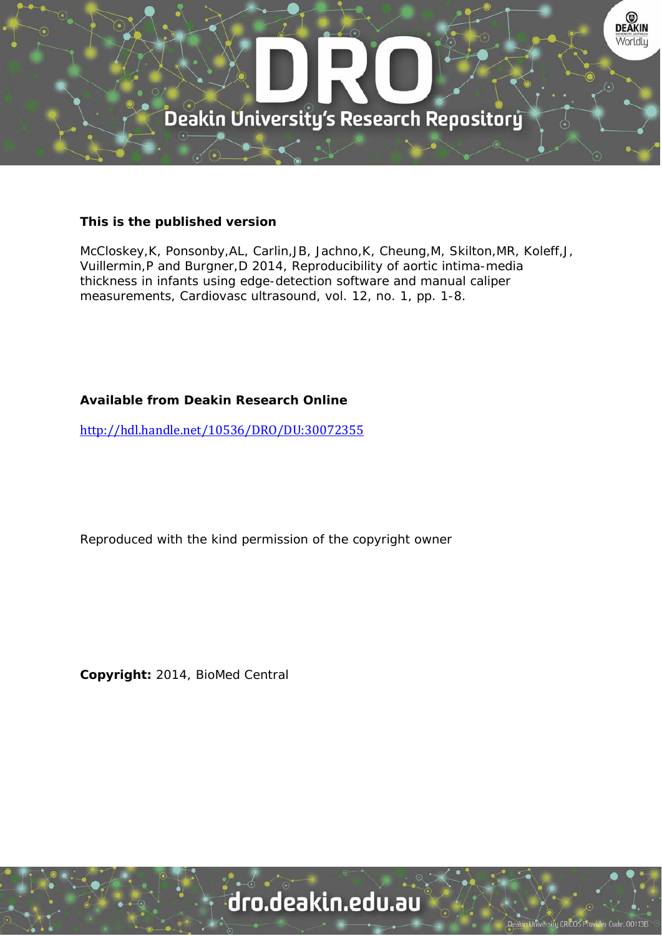

### **This is the published version**

McCloskey,K, Ponsonby,AL, Carlin,JB, Jachno,K, Cheung,M, Skilton,MR, Koleff,J, Vuillermin,P and Burgner,D 2014, Reproducibility of aortic intima-media thickness in infants using edge-detection software and manual caliper measurements, Cardiovasc ultrasound, vol. 12, no. 1, pp. 1-8.

## **Available from Deakin Research Online**

http://hdl.handle.net/10536/DRO/DU:30072355

Reproduced with the kind permission of the copyright owner

**Copyright:** 2014, BioMed Central

# dro.deakin.edu.au

ity CRICOS Pro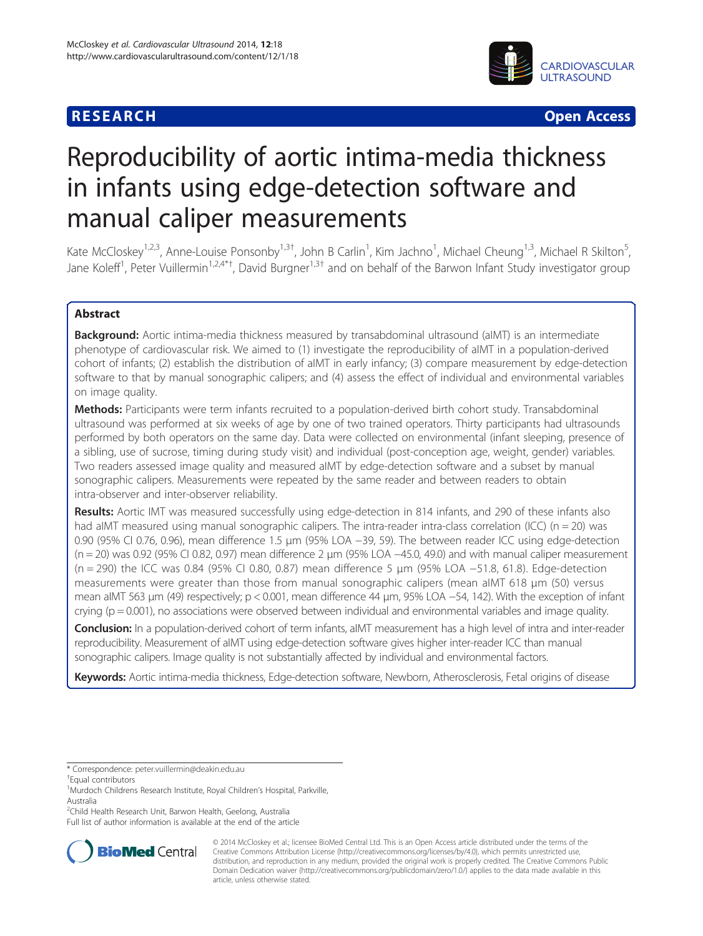# **RESEARCH CHINESE ARCH CHINESE ARCH CHINESE ARCH <b>CHINESE ARCH**



# Reproducibility of aortic intima-media thickness in infants using edge-detection software and manual caliper measurements

Kate McCloskey<sup>1,2,3</sup>, Anne-Louise Ponsonby<sup>1,3†</sup>, John B Carlin<sup>1</sup>, Kim Jachno<sup>1</sup>, Michael Cheung<sup>1,3</sup>, Michael R Skilton<sup>5</sup> , Jane Koleff<sup>1</sup>, Peter Vuillermin<sup>1,2,4\*†</sup>, David Burgner<sup>1,3†</sup> and on behalf of the Barwon Infant Study investigator group

### Abstract

**Background:** Aortic intima-media thickness measured by transabdominal ultrasound (aIMT) is an intermediate phenotype of cardiovascular risk. We aimed to (1) investigate the reproducibility of aIMT in a population-derived cohort of infants; (2) establish the distribution of aIMT in early infancy; (3) compare measurement by edge-detection software to that by manual sonographic calipers; and (4) assess the effect of individual and environmental variables on image quality.

Methods: Participants were term infants recruited to a population-derived birth cohort study. Transabdominal ultrasound was performed at six weeks of age by one of two trained operators. Thirty participants had ultrasounds performed by both operators on the same day. Data were collected on environmental (infant sleeping, presence of a sibling, use of sucrose, timing during study visit) and individual (post-conception age, weight, gender) variables. Two readers assessed image quality and measured aIMT by edge-detection software and a subset by manual sonographic calipers. Measurements were repeated by the same reader and between readers to obtain intra-observer and inter-observer reliability.

Results: Aortic IMT was measured successfully using edge-detection in 814 infants, and 290 of these infants also had aIMT measured using manual sonographic calipers. The intra-reader intra-class correlation (ICC) (n = 20) was 0.90 (95% CI 0.76, 0.96), mean difference 1.5 μm (95% LOA −39, 59). The between reader ICC using edge-detection (n = 20) was 0.92 (95% CI 0.82, 0.97) mean difference 2 μm (95% LOA −45.0, 49.0) and with manual caliper measurement (n = 290) the ICC was 0.84 (95% CI 0.80, 0.87) mean difference 5 μm (95% LOA −51.8, 61.8). Edge-detection measurements were greater than those from manual sonographic calipers (mean aIMT 618 μm (50) versus mean aIMT 563 μm (49) respectively; p < 0.001, mean difference 44 μm, 95% LOA -54, 142). With the exception of infant crying ( $p = 0.001$ ), no associations were observed between individual and environmental variables and image quality.

Conclusion: In a population-derived cohort of term infants, aIMT measurement has a high level of intra and inter-reader reproducibility. Measurement of aIMT using edge-detection software gives higher inter-reader ICC than manual sonographic calipers. Image quality is not substantially affected by individual and environmental factors.

Keywords: Aortic intima-media thickness, Edge-detection software, Newborn, Atherosclerosis, Fetal origins of disease

<sup>1</sup>Murdoch Childrens Research Institute, Royal Children's Hospital, Parkville, Australia

Full list of author information is available at the end of the article



© 2014 McCloskey et al.; licensee BioMed Central Ltd. This is an Open Access article distributed under the terms of the Creative Commons Attribution License (<http://creativecommons.org/licenses/by/4.0>), which permits unrestricted use, distribution, and reproduction in any medium, provided the original work is properly credited. The Creative Commons Public Domain Dedication waiver [\(http://creativecommons.org/publicdomain/zero/1.0/\)](http://creativecommons.org/publicdomain/zero/1.0/) applies to the data made available in this article, unless otherwise stated.

<sup>\*</sup> Correspondence: [peter.vuillermin@deakin.edu.au](mailto:peter.vuillermin@deakin.edu.au) †

Equal contributors

<sup>&</sup>lt;sup>2</sup>Child Health Research Unit, Barwon Health, Geelong, Australia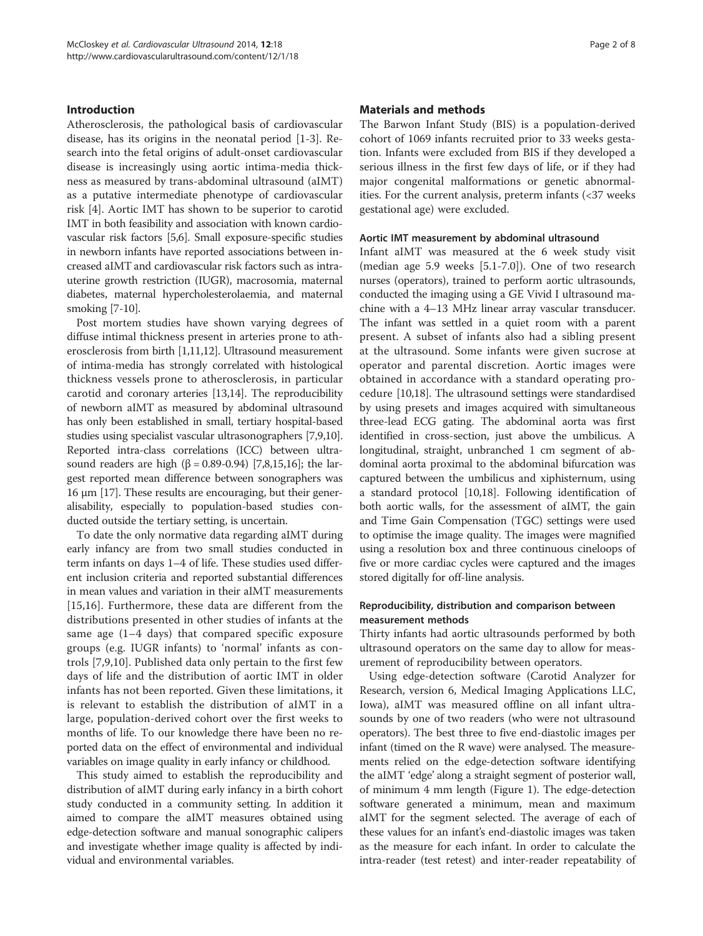#### Introduction

Atherosclerosis, the pathological basis of cardiovascular disease, has its origins in the neonatal period [\[1-3](#page-7-0)]. Research into the fetal origins of adult-onset cardiovascular disease is increasingly using aortic intima-media thickness as measured by trans-abdominal ultrasound (aIMT) as a putative intermediate phenotype of cardiovascular risk [[4\]](#page-7-0). Aortic IMT has shown to be superior to carotid IMT in both feasibility and association with known cardiovascular risk factors [\[5,6](#page-8-0)]. Small exposure-specific studies in newborn infants have reported associations between increased aIMT and cardiovascular risk factors such as intrauterine growth restriction (IUGR), macrosomia, maternal diabetes, maternal hypercholesterolaemia, and maternal smoking [\[7-10](#page-8-0)].

Post mortem studies have shown varying degrees of diffuse intimal thickness present in arteries prone to atherosclerosis from birth [\[1,](#page-7-0)[11,12\]](#page-8-0). Ultrasound measurement of intima-media has strongly correlated with histological thickness vessels prone to atherosclerosis, in particular carotid and coronary arteries [[13,14\]](#page-8-0). The reproducibility of newborn aIMT as measured by abdominal ultrasound has only been established in small, tertiary hospital-based studies using specialist vascular ultrasonographers [\[7,9,10](#page-8-0)]. Reported intra-class correlations (ICC) between ultra-sound readers are high (β = 0.89-0.94) [\[7,8,15,16](#page-8-0)]; the largest reported mean difference between sonographers was 16 μm [[17](#page-8-0)]. These results are encouraging, but their generalisability, especially to population-based studies conducted outside the tertiary setting, is uncertain.

To date the only normative data regarding aIMT during early infancy are from two small studies conducted in term infants on days 1–4 of life. These studies used different inclusion criteria and reported substantial differences in mean values and variation in their aIMT measurements [[15,16](#page-8-0)]. Furthermore, these data are different from the distributions presented in other studies of infants at the same age (1–4 days) that compared specific exposure groups (e.g. IUGR infants) to 'normal' infants as controls [\[7](#page-8-0),[9,10\]](#page-8-0). Published data only pertain to the first few days of life and the distribution of aortic IMT in older infants has not been reported. Given these limitations, it is relevant to establish the distribution of aIMT in a large, population-derived cohort over the first weeks to months of life. To our knowledge there have been no reported data on the effect of environmental and individual variables on image quality in early infancy or childhood.

This study aimed to establish the reproducibility and distribution of aIMT during early infancy in a birth cohort study conducted in a community setting. In addition it aimed to compare the aIMT measures obtained using edge-detection software and manual sonographic calipers and investigate whether image quality is affected by individual and environmental variables.

#### Materials and methods

The Barwon Infant Study (BIS) is a population-derived cohort of 1069 infants recruited prior to 33 weeks gestation. Infants were excluded from BIS if they developed a serious illness in the first few days of life, or if they had major congenital malformations or genetic abnormalities. For the current analysis, preterm infants  $\left( < 37 \right)$  weeks gestational age) were excluded.

#### Aortic IMT measurement by abdominal ultrasound

Infant aIMT was measured at the 6 week study visit (median age 5.9 weeks [5.1-7.0]). One of two research nurses (operators), trained to perform aortic ultrasounds, conducted the imaging using a GE Vivid I ultrasound machine with a 4–13 MHz linear array vascular transducer. The infant was settled in a quiet room with a parent present. A subset of infants also had a sibling present at the ultrasound. Some infants were given sucrose at operator and parental discretion. Aortic images were obtained in accordance with a standard operating procedure [\[10,18](#page-8-0)]. The ultrasound settings were standardised by using presets and images acquired with simultaneous three-lead ECG gating. The abdominal aorta was first identified in cross-section, just above the umbilicus. A longitudinal, straight, unbranched 1 cm segment of abdominal aorta proximal to the abdominal bifurcation was captured between the umbilicus and xiphisternum, using a standard protocol [\[10,18\]](#page-8-0). Following identification of both aortic walls, for the assessment of aIMT, the gain and Time Gain Compensation (TGC) settings were used to optimise the image quality. The images were magnified using a resolution box and three continuous cineloops of five or more cardiac cycles were captured and the images stored digitally for off-line analysis.

#### Reproducibility, distribution and comparison between measurement methods

Thirty infants had aortic ultrasounds performed by both ultrasound operators on the same day to allow for measurement of reproducibility between operators.

Using edge-detection software (Carotid Analyzer for Research, version 6, Medical Imaging Applications LLC, Iowa), aIMT was measured offline on all infant ultrasounds by one of two readers (who were not ultrasound operators). The best three to five end-diastolic images per infant (timed on the R wave) were analysed. The measurements relied on the edge-detection software identifying the aIMT 'edge' along a straight segment of posterior wall, of minimum 4 mm length (Figure [1\)](#page-3-0). The edge-detection software generated a minimum, mean and maximum aIMT for the segment selected. The average of each of these values for an infant's end-diastolic images was taken as the measure for each infant. In order to calculate the intra-reader (test retest) and inter-reader repeatability of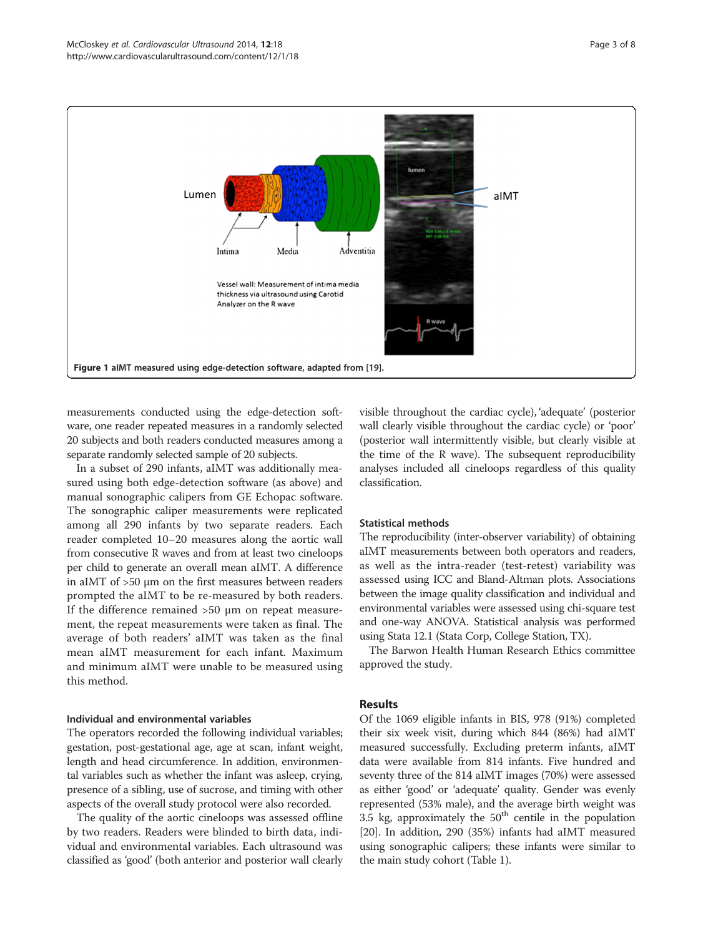<span id="page-3-0"></span>

measurements conducted using the edge-detection software, one reader repeated measures in a randomly selected 20 subjects and both readers conducted measures among a separate randomly selected sample of 20 subjects.

In a subset of 290 infants, aIMT was additionally measured using both edge-detection software (as above) and manual sonographic calipers from GE Echopac software. The sonographic caliper measurements were replicated among all 290 infants by two separate readers. Each reader completed 10–20 measures along the aortic wall from consecutive R waves and from at least two cineloops per child to generate an overall mean aIMT. A difference in aIMT of >50 μm on the first measures between readers prompted the aIMT to be re-measured by both readers. If the difference remained >50 μm on repeat measurement, the repeat measurements were taken as final. The average of both readers' aIMT was taken as the final mean aIMT measurement for each infant. Maximum and minimum aIMT were unable to be measured using this method.

#### Individual and environmental variables

The operators recorded the following individual variables; gestation, post-gestational age, age at scan, infant weight, length and head circumference. In addition, environmental variables such as whether the infant was asleep, crying, presence of a sibling, use of sucrose, and timing with other aspects of the overall study protocol were also recorded.

The quality of the aortic cineloops was assessed offline by two readers. Readers were blinded to birth data, individual and environmental variables. Each ultrasound was classified as 'good' (both anterior and posterior wall clearly

visible throughout the cardiac cycle), 'adequate' (posterior wall clearly visible throughout the cardiac cycle) or 'poor' (posterior wall intermittently visible, but clearly visible at the time of the R wave). The subsequent reproducibility analyses included all cineloops regardless of this quality classification.

#### Statistical methods

The reproducibility (inter-observer variability) of obtaining aIMT measurements between both operators and readers, as well as the intra-reader (test-retest) variability was assessed using ICC and Bland-Altman plots. Associations between the image quality classification and individual and environmental variables were assessed using chi-square test and one-way ANOVA. Statistical analysis was performed using Stata 12.1 (Stata Corp, College Station, TX).

The Barwon Health Human Research Ethics committee approved the study.

#### Results

Of the 1069 eligible infants in BIS, 978 (91%) completed their six week visit, during which 844 (86%) had aIMT measured successfully. Excluding preterm infants, aIMT data were available from 814 infants. Five hundred and seventy three of the 814 aIMT images (70%) were assessed as either 'good' or 'adequate' quality. Gender was evenly represented (53% male), and the average birth weight was 3.5 kg, approximately the  $50<sup>th</sup>$  centile in the population [[20](#page-8-0)]. In addition, 290 (35%) infants had aIMT measured using sonographic calipers; these infants were similar to the main study cohort (Table [1](#page-4-0)).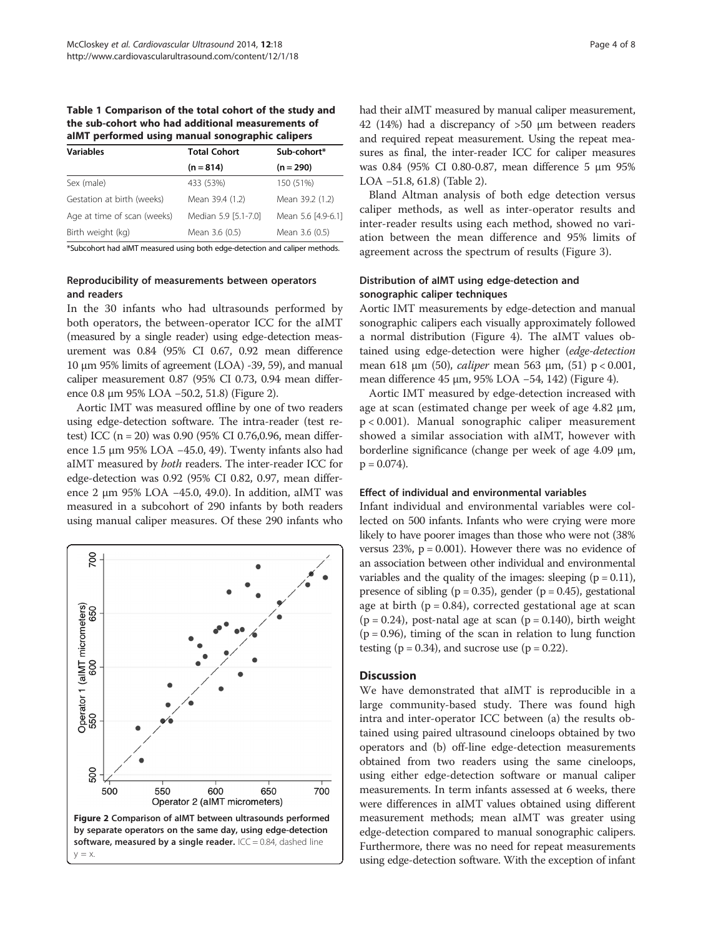<span id="page-4-0"></span>Table 1 Comparison of the total cohort of the study and the sub-cohort who had additional measurements of aIMT performed using manual sonographic calipers

| processes and graduated service proposer and process |                      |                    |  |
|------------------------------------------------------|----------------------|--------------------|--|
| <b>Variables</b>                                     | <b>Total Cohort</b>  | Sub-cohort*        |  |
|                                                      | $(n = 814)$          | $(n = 290)$        |  |
| Sex (male)                                           | 433 (53%)            | 150 (51%)          |  |
| Gestation at birth (weeks)                           | Mean 39.4 (1.2)      | Mean 39.2 (1.2)    |  |
| Age at time of scan (weeks)                          | Median 5.9 [5.1-7.0] | Mean 5.6 [4.9-6.1] |  |
| Birth weight (kg)                                    | Mean 3.6 (0.5)       | Mean 3.6 (0.5)     |  |
|                                                      |                      |                    |  |

\*Subcohort had aIMT measured using both edge-detection and caliper methods.

#### Reproducibility of measurements between operators and readers

In the 30 infants who had ultrasounds performed by both operators, the between-operator ICC for the aIMT (measured by a single reader) using edge-detection measurement was 0.84 (95% CI 0.67, 0.92 mean difference 10 μm 95% limits of agreement (LOA) -39, 59), and manual caliper measurement 0.87 (95% CI 0.73, 0.94 mean difference 0.8 μm 95% LOA −50.2, 51.8) (Figure 2).

Aortic IMT was measured offline by one of two readers using edge-detection software. The intra-reader (test retest) ICC (n = 20) was 0.90 (95% CI 0.76,0.96, mean difference 1.5 μm 95% LOA −45.0, 49). Twenty infants also had aIMT measured by both readers. The inter-reader ICC for edge-detection was 0.92 (95% CI 0.82, 0.97, mean difference 2 μm 95% LOA −45.0, 49.0). In addition, aIMT was measured in a subcohort of 290 infants by both readers using manual caliper measures. Of these 290 infants who



had their aIMT measured by manual caliper measurement, 42 (14%) had a discrepancy of >50 μm between readers and required repeat measurement. Using the repeat measures as final, the inter-reader ICC for caliper measures was 0.84 (95% CI 0.80-0.87, mean difference 5 μm 95% LOA −51.8, 61.8) (Table [2](#page-5-0)).

Bland Altman analysis of both edge detection versus caliper methods, as well as inter-operator results and inter-reader results using each method, showed no variation between the mean difference and 95% limits of agreement across the spectrum of results (Figure [3\)](#page-5-0).

#### Distribution of aIMT using edge-detection and sonographic caliper techniques

Aortic IMT measurements by edge-detection and manual sonographic calipers each visually approximately followed a normal distribution (Figure [4](#page-6-0)). The aIMT values obtained using edge-detection were higher (edge-detection mean 618 μm (50), *caliper* mean 563 μm, (51)  $p < 0.001$ , mean difference [4](#page-6-0)5 μm, 95% LOA −54, 142) (Figure 4).

Aortic IMT measured by edge-detection increased with age at scan (estimated change per week of age 4.82 μm, p < 0.001). Manual sonographic caliper measurement showed a similar association with aIMT, however with borderline significance (change per week of age 4.09 μm,  $p = 0.074$ .

#### Effect of individual and environmental variables

Infant individual and environmental variables were collected on 500 infants. Infants who were crying were more likely to have poorer images than those who were not (38% versus  $23\%$ ,  $p = 0.001$ ). However there was no evidence of an association between other individual and environmental variables and the quality of the images: sleeping  $(p = 0.11)$ , presence of sibling ( $p = 0.35$ ), gender ( $p = 0.45$ ), gestational age at birth  $(p = 0.84)$ , corrected gestational age at scan  $(p = 0.24)$ , post-natal age at scan  $(p = 0.140)$ , birth weight  $(p = 0.96)$ , timing of the scan in relation to lung function testing ( $p = 0.34$ ), and sucrose use ( $p = 0.22$ ).

#### **Discussion**

We have demonstrated that aIMT is reproducible in a large community-based study. There was found high intra and inter-operator ICC between (a) the results obtained using paired ultrasound cineloops obtained by two operators and (b) off-line edge-detection measurements obtained from two readers using the same cineloops, using either edge-detection software or manual caliper measurements. In term infants assessed at 6 weeks, there were differences in aIMT values obtained using different measurement methods; mean aIMT was greater using edge-detection compared to manual sonographic calipers. Furthermore, there was no need for repeat measurements using edge-detection software. With the exception of infant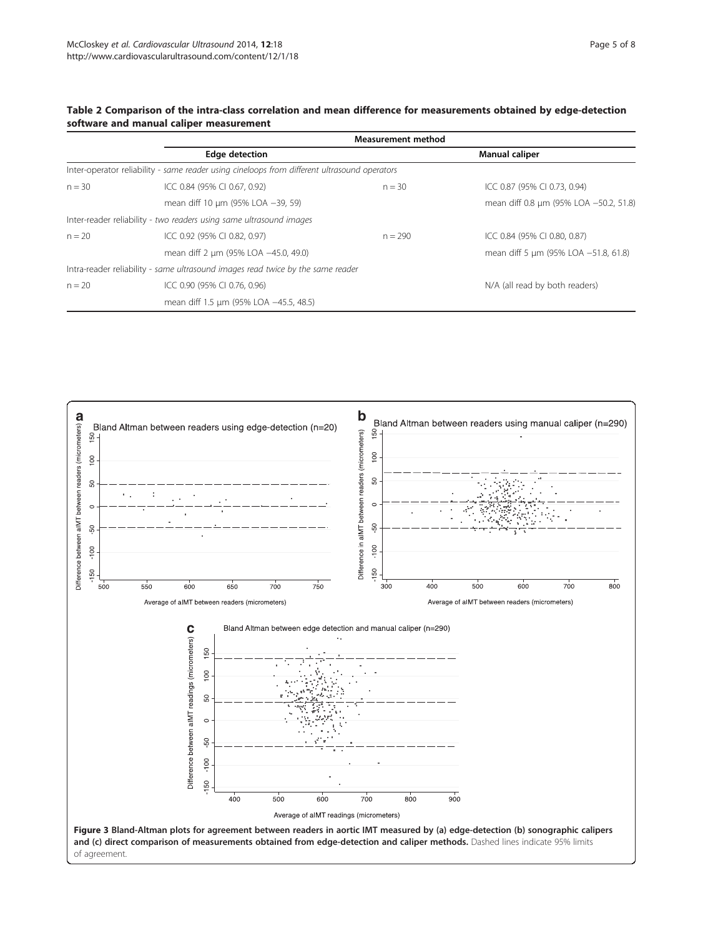|          |                                                                                              | <b>Measurement method</b> |                                        |  |
|----------|----------------------------------------------------------------------------------------------|---------------------------|----------------------------------------|--|
|          | <b>Edge detection</b>                                                                        |                           | Manual caliper                         |  |
|          | Inter-operator reliability - same reader using cineloops from different ultrasound operators |                           |                                        |  |
| $n = 30$ | ICC 0.84 (95% CI 0.67, 0.92)                                                                 | $n = 30$                  | ICC 0.87 (95% CI 0.73, 0.94)           |  |
|          | mean diff 10 um (95% LOA -39, 59)                                                            |                           | mean diff 0.8 um (95% LOA -50.2, 51.8) |  |
|          | Inter-reader reliability - two readers using same ultrasound images                          |                           |                                        |  |
| $n = 20$ | ICC 0.92 (95% CI 0.82, 0.97)                                                                 | $n = 290$                 | ICC 0.84 (95% CI 0.80, 0.87)           |  |
|          | mean diff 2 µm (95% LOA -45.0, 49.0)                                                         |                           | mean diff 5 µm (95% LOA -51.8, 61.8)   |  |
|          | Intra-reader reliability - same ultrasound images read twice by the same reader              |                           |                                        |  |
| $n = 20$ | ICC 0.90 (95% CI 0.76, 0.96)                                                                 |                           | N/A (all read by both readers)         |  |
|          | mean diff 1.5 µm (95% LOA -45.5, 48.5)                                                       |                           |                                        |  |



#### <span id="page-5-0"></span>Table 2 Comparison of the intra-class correlation and mean difference for measurements obtained by edge-detection software and manual caliper measurement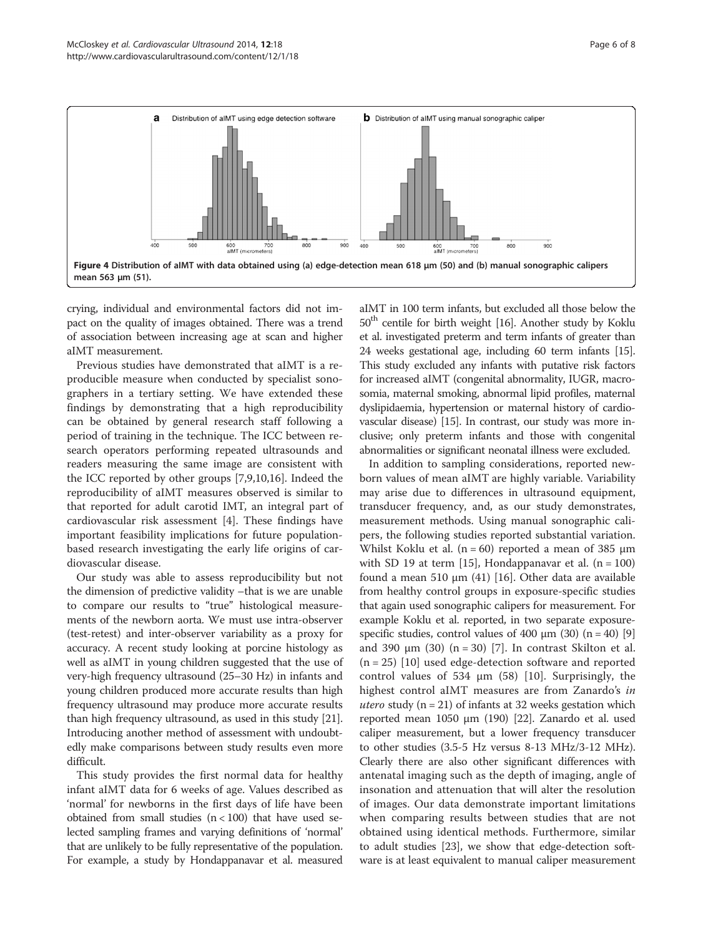<span id="page-6-0"></span>

crying, individual and environmental factors did not impact on the quality of images obtained. There was a trend of association between increasing age at scan and higher aIMT measurement.

Previous studies have demonstrated that aIMT is a reproducible measure when conducted by specialist sonographers in a tertiary setting. We have extended these findings by demonstrating that a high reproducibility can be obtained by general research staff following a period of training in the technique. The ICC between research operators performing repeated ultrasounds and readers measuring the same image are consistent with the ICC reported by other groups [\[7,9,10,16](#page-8-0)]. Indeed the reproducibility of aIMT measures observed is similar to that reported for adult carotid IMT, an integral part of cardiovascular risk assessment [[4\]](#page-7-0). These findings have important feasibility implications for future populationbased research investigating the early life origins of cardiovascular disease.

Our study was able to assess reproducibility but not the dimension of predictive validity –that is we are unable to compare our results to "true" histological measurements of the newborn aorta. We must use intra-observer (test-retest) and inter-observer variability as a proxy for accuracy. A recent study looking at porcine histology as well as aIMT in young children suggested that the use of very-high frequency ultrasound (25–30 Hz) in infants and young children produced more accurate results than high frequency ultrasound may produce more accurate results than high frequency ultrasound, as used in this study [[21](#page-8-0)]. Introducing another method of assessment with undoubtedly make comparisons between study results even more difficult.

This study provides the first normal data for healthy infant aIMT data for 6 weeks of age. Values described as 'normal' for newborns in the first days of life have been obtained from small studies  $(n < 100)$  that have used selected sampling frames and varying definitions of 'normal' that are unlikely to be fully representative of the population. For example, a study by Hondappanavar et al. measured

aIMT in 100 term infants, but excluded all those below the  $50<sup>th</sup>$  centile for birth weight [\[16](#page-8-0)]. Another study by Koklu et al. investigated preterm and term infants of greater than 24 weeks gestational age, including 60 term infants [\[15](#page-8-0)]. This study excluded any infants with putative risk factors for increased aIMT (congenital abnormality, IUGR, macrosomia, maternal smoking, abnormal lipid profiles, maternal dyslipidaemia, hypertension or maternal history of cardiovascular disease) [[15](#page-8-0)]. In contrast, our study was more inclusive; only preterm infants and those with congenital abnormalities or significant neonatal illness were excluded.

In addition to sampling considerations, reported newborn values of mean aIMT are highly variable. Variability may arise due to differences in ultrasound equipment, transducer frequency, and, as our study demonstrates, measurement methods. Using manual sonographic calipers, the following studies reported substantial variation. Whilst Koklu et al.  $(n = 60)$  reported a mean of 385  $\mu$ m with SD 19 at term [\[15\]](#page-8-0), Hondappanavar et al.  $(n = 100)$ found a mean 510 μm (41) [\[16\]](#page-8-0). Other data are available from healthy control groups in exposure-specific studies that again used sonographic calipers for measurement. For example Koklu et al. reported, in two separate exposurespecific studies, control values of 400  $\mu$ m (30) (n = 40) [[9](#page-8-0)] and 390  $\mu$ m (30) (n = 30) [[7\]](#page-8-0). In contrast Skilton et al. (n = 25) [[10\]](#page-8-0) used edge-detection software and reported control values of 534  $\mu$ m (58) [[10\]](#page-8-0). Surprisingly, the highest control aIMT measures are from Zanardo's in utero study ( $n = 21$ ) of infants at 32 weeks gestation which reported mean 1050 μm (190) [\[22\]](#page-8-0). Zanardo et al. used caliper measurement, but a lower frequency transducer to other studies (3.5-5 Hz versus 8-13 MHz/3-12 MHz). Clearly there are also other significant differences with antenatal imaging such as the depth of imaging, angle of insonation and attenuation that will alter the resolution of images. Our data demonstrate important limitations when comparing results between studies that are not obtained using identical methods. Furthermore, similar to adult studies [\[23\]](#page-8-0), we show that edge-detection software is at least equivalent to manual caliper measurement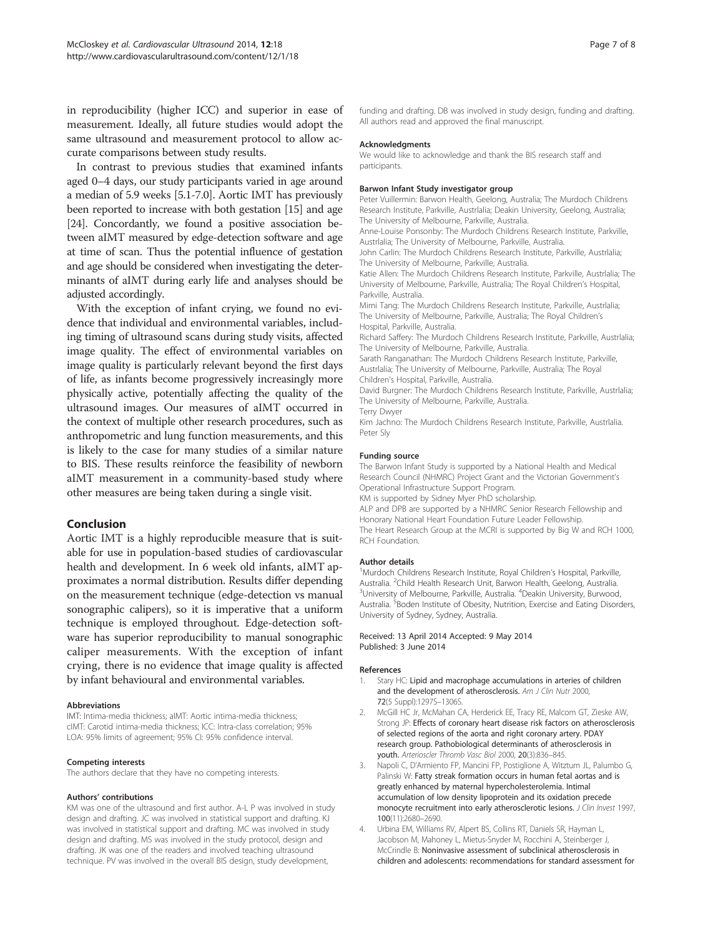<span id="page-7-0"></span>in reproducibility (higher ICC) and superior in ease of measurement. Ideally, all future studies would adopt the same ultrasound and measurement protocol to allow accurate comparisons between study results.

In contrast to previous studies that examined infants aged 0–4 days, our study participants varied in age around a median of 5.9 weeks [5.1-7.0]. Aortic IMT has previously been reported to increase with both gestation [\[15\]](#page-8-0) and age [[24](#page-8-0)]. Concordantly, we found a positive association between aIMT measured by edge-detection software and age at time of scan. Thus the potential influence of gestation and age should be considered when investigating the determinants of aIMT during early life and analyses should be adjusted accordingly.

With the exception of infant crying, we found no evidence that individual and environmental variables, including timing of ultrasound scans during study visits, affected image quality. The effect of environmental variables on image quality is particularly relevant beyond the first days of life, as infants become progressively increasingly more physically active, potentially affecting the quality of the ultrasound images. Our measures of aIMT occurred in the context of multiple other research procedures, such as anthropometric and lung function measurements, and this is likely to the case for many studies of a similar nature to BIS. These results reinforce the feasibility of newborn aIMT measurement in a community-based study where other measures are being taken during a single visit.

#### Conclusion

Aortic IMT is a highly reproducible measure that is suitable for use in population-based studies of cardiovascular health and development. In 6 week old infants, aIMT approximates a normal distribution. Results differ depending on the measurement technique (edge-detection vs manual sonographic calipers), so it is imperative that a uniform technique is employed throughout. Edge-detection software has superior reproducibility to manual sonographic caliper measurements. With the exception of infant crying, there is no evidence that image quality is affected by infant behavioural and environmental variables.

#### Abbreviations

IMT: Intima-media thickness; aIMT: Aortic intima-media thickness; cIMT: Carotid intima-media thickness; ICC: Intra-class correlation; 95% LOA: 95% limits of agreement; 95% CI: 95% confidence interval.

#### Competing interests

The authors declare that they have no competing interests.

#### Authors' contributions

KM was one of the ultrasound and first author. A-L P was involved in study design and drafting. JC was involved in statistical support and drafting. KJ was involved in statistical support and drafting. MC was involved in study design and drafting. MS was involved in the study protocol, design and drafting. JK was one of the readers and involved teaching ultrasound technique. PV was involved in the overall BIS design, study development,

funding and drafting. DB was involved in study design, funding and drafting. All authors read and approved the final manuscript.

#### Acknowledgments

We would like to acknowledge and thank the BIS research staff and participants.

#### Barwon Infant Study investigator group

Peter Vuillermin: Barwon Health, Geelong, Australia; The Murdoch Childrens Research Institute, Parkville, Austrlalia; Deakin University, Geelong, Australia; The University of Melbourne, Parkville, Australia.

Anne-Louise Ponsonby: The Murdoch Childrens Research Institute, Parkville, Austrlalia; The University of Melbourne, Parkville, Australia.

John Carlin: The Murdoch Childrens Research Institute, Parkville, Austrlalia; The University of Melbourne, Parkville, Australia.

Katie Allen: The Murdoch Childrens Research Institute, Parkville, Austrlalia; The University of Melbourne, Parkville, Australia; The Royal Children's Hospital, Parkville, Australia.

Mimi Tang: The Murdoch Childrens Research Institute, Parkville, Austrlalia; The University of Melbourne, Parkville, Australia; The Royal Children's Hospital, Parkville, Australia.

Richard Saffery: The Murdoch Childrens Research Institute, Parkville, Austrlalia; The University of Melbourne, Parkville, Australia.

Sarath Ranganathan: The Murdoch Childrens Research Institute, Parkville, Austrlalia; The University of Melbourne, Parkville, Australia; The Royal Children's Hospital, Parkville, Australia.

David Burgner: The Murdoch Childrens Research Institute, Parkville, Austrlalia; The University of Melbourne, Parkville, Australia. Terry Dwyer

Kim Jachno: The Murdoch Childrens Research Institute, Parkville, Austrlalia. Peter Sly

#### Funding source

The Barwon Infant Study is supported by a National Health and Medical Research Council (NHMRC) Project Grant and the Victorian Government's Operational Infrastructure Support Program.

KM is supported by Sidney Myer PhD scholarship.

ALP and DPB are supported by a NHMRC Senior Research Fellowship and Honorary National Heart Foundation Future Leader Fellowship. The Heart Research Group at the MCRI is supported by Big W and RCH 1000, RCH Foundation.

#### Author details

<sup>1</sup>Murdoch Childrens Research Institute, Royal Children's Hospital, Parkville Australia. <sup>2</sup>Child Health Research Unit, Barwon Health, Geelong, Australia.<br><sup>3</sup>University of Melbourne, Parkville, Australia. <sup>4</sup>Deakin University, Burwooc University of Melbourne, Parkville, Australia. <sup>4</sup>Deakin University, Burwood Australia.<sup>5</sup> Boden Institute of Obesity, Nutrition, Exercise and Eating Disorders University of Sydney, Sydney, Australia.

#### Received: 13 April 2014 Accepted: 9 May 2014 Published: 3 June 2014

#### References

- 1. Stary HC: Lipid and macrophage accumulations in arteries of children and the development of atherosclerosis. Am J Clin Nutr 2000, 72(5 Suppl):1297S–1306S.
- 2. McGill HC Jr, McMahan CA, Herderick EE, Tracy RE, Malcom GT, Zieske AW, Strong JP: Effects of coronary heart disease risk factors on atherosclerosis of selected regions of the aorta and right coronary artery. PDAY research group. Pathobiological determinants of atherosclerosis in youth. Arterioscler Thromb Vasc Biol 2000, 20(3):836–845.
- 3. Napoli C, D'Armiento FP, Mancini FP, Postiglione A, Witztum JL, Palumbo G, Palinski W: Fatty streak formation occurs in human fetal aortas and is greatly enhanced by maternal hypercholesterolemia. Intimal accumulation of low density lipoprotein and its oxidation precede monocyte recruitment into early atherosclerotic lesions. J Clin Invest 1997, 100(11):2680–2690.
- 4. Urbina EM, Williams RV, Alpert BS, Collins RT, Daniels SR, Hayman L, Jacobson M, Mahoney L, Mietus-Snyder M, Rocchini A, Steinberger J, McCrindle B: Noninvasive assessment of subclinical atherosclerosis in children and adolescents: recommendations for standard assessment for